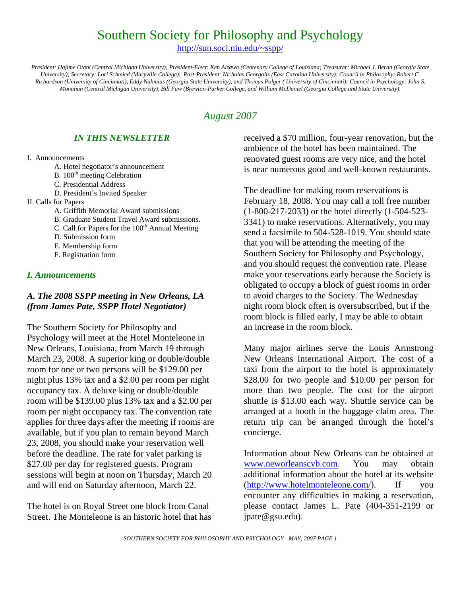# Southern Society for Philosophy and Psychology

http://sun.soci.niu.edu/~sspp/

*President: Hajime Otani (Central Michigan University); President-Elect: Ken Aizawa (Centenary College of Louisiana; Treasurer: Michael J. Beran (Georgia State University); Secretary: Lori Schmied (Maryville College)*; *Past-President: Nicholas Georgalis (East Carolina University); Council in Philosophy: Robert C. Richardson (University of Cincinnati), Eddy Nahmias (Georgia State University), and Thomas Polger ( University of Cincinnati); Council in Psychology: John S. Monahan (Central Michigan University), Bill Faw (Brewton-Parker College, and William McDaniel (Georgia College and State University).* 

# *August 2007*

# *IN THIS NEWSLETTER*

#### I. Announcements

- A. Hotel negotiator's announcement
- B. 100<sup>th</sup> meeting Celebration
- C. Presidential Address
- D. President's Invited Speaker
- II. Calls for Papers
	- A. Griffith Memorial Award submissions
	- B. Graduate Student Travel Award submissions.
	- C. Call for Papers for the  $100<sup>th</sup>$  Annual Meeting
	- D. Submission form
	- E. Membership form
	- F. Registration form

# *I. Announcements*

# *A. The 2008 SSPP meeting in New Orleans, LA (from James Pate, SSPP Hotel Negotiator)*

The Southern Society for Philosophy and Psychology will meet at the Hotel Monteleone in New Orleans, Louisiana, from March 19 through March 23, 2008. A superior king or double/double room for one or two persons will be \$129.00 per night plus 13% tax and a \$2.00 per room per night occupancy tax. A deluxe king or double/double room will be \$139.00 plus 13% tax and a \$2.00 per room per night occupancy tax. The convention rate applies for three days after the meeting if rooms are available, but if you plan to remain beyond March 23, 2008, you should make your reservation well before the deadline. The rate for valet parking is \$27.00 per day for registered guests. Program sessions will begin at noon on Thursday, March 20 and will end on Saturday afternoon, March 22.

The hotel is on Royal Street one block from Canal Street. The Monteleone is an historic hotel that has received a \$70 million, four-year renovation, but the ambience of the hotel has been maintained. The renovated guest rooms are very nice, and the hotel is near numerous good and well-known restaurants.

The deadline for making room reservations is February 18, 2008. You may call a toll free number (1-800-217-2033) or the hotel directly (1-504-523- 3341) to make reservations. Alternatively, you may send a facsimile to 504-528-1019. You should state that you will be attending the meeting of the Southern Society for Philosophy and Psychology, and you should request the convention rate. Please make your reservations early because the Society is obligated to occupy a block of guest rooms in order to avoid charges to the Society. The Wednesday night room block often is oversubscribed, but if the room block is filled early, I may be able to obtain an increase in the room block.

Many major airlines serve the Louis Armstrong New Orleans International Airport. The cost of a taxi from the airport to the hotel is approximately \$28.00 for two people and \$10.00 per person for more than two people. The cost for the airport shuttle is \$13.00 each way. Shuttle service can be arranged at a booth in the baggage claim area. The return trip can be arranged through the hotel's concierge.

Information about New Orleans can be obtained at www.neworleanscvb.com. You may obtain additional information about the hotel at its website (http://www.hotelmonteleone.com/). If you encounter any difficulties in making a reservation, please contact James L. Pate (404-351-2199 or jpate@gsu.edu).

*SOUTHERN SOCIETY FOR PHILOSOPHY AND PSYCHOLOGY - MAY, 2007 PAGE 1*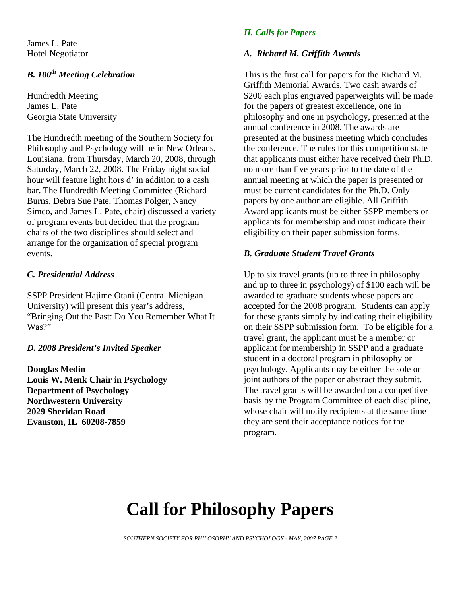James L. Pate Hotel Negotiator

# **B.** 100<sup>th</sup> Meeting Celebration

Hundredth Meeting James L. Pate Georgia State University

The Hundredth meeting of the Southern Society for Philosophy and Psychology will be in New Orleans, Louisiana, from Thursday, March 20, 2008, through Saturday, March 22, 2008. The Friday night social hour will feature light hors d' in addition to a cash bar. The Hundredth Meeting Committee (Richard Burns, Debra Sue Pate, Thomas Polger, Nancy Simco, and James L. Pate, chair) discussed a variety of program events but decided that the program chairs of the two disciplines should select and arrange for the organization of special program events.

# *C. Presidential Address*

SSPP President Hajime Otani (Central Michigan University) will present this year's address, "Bringing Out the Past: Do You Remember What It Was?"

# *D. 2008 President's Invited Speaker*

**Douglas Medin Louis W. Menk Chair in Psychology Department of Psychology Northwestern University 2029 Sheridan Road Evanston, IL 60208-7859** 

# *II. Calls for Papers*

#### *A. Richard M. Griffith Awards*

This is the first call for papers for the Richard M. Griffith Memorial Awards. Two cash awards of \$200 each plus engraved paperweights will be made for the papers of greatest excellence, one in philosophy and one in psychology, presented at the annual conference in 2008. The awards are presented at the business meeting which concludes the conference. The rules for this competition state that applicants must either have received their Ph.D. no more than five years prior to the date of the annual meeting at which the paper is presented or must be current candidates for the Ph.D. Only papers by one author are eligible. All Griffith Award applicants must be either SSPP members or applicants for membership and must indicate their eligibility on their paper submission forms.

### *B. Graduate Student Travel Grants*

Up to six travel grants (up to three in philosophy and up to three in psychology) of \$100 each will be awarded to graduate students whose papers are accepted for the 2008 program. Students can apply for these grants simply by indicating their eligibility on their SSPP submission form. To be eligible for a travel grant, the applicant must be a member or applicant for membership in SSPP and a graduate student in a doctoral program in philosophy or psychology. Applicants may be either the sole or joint authors of the paper or abstract they submit. The travel grants will be awarded on a competitive basis by the Program Committee of each discipline, whose chair will notify recipients at the same time they are sent their acceptance notices for the program.

# **Call for Philosophy Papers**

*SOUTHERN SOCIETY FOR PHILOSOPHY AND PSYCHOLOGY - MAY, 2007 PAGE 2*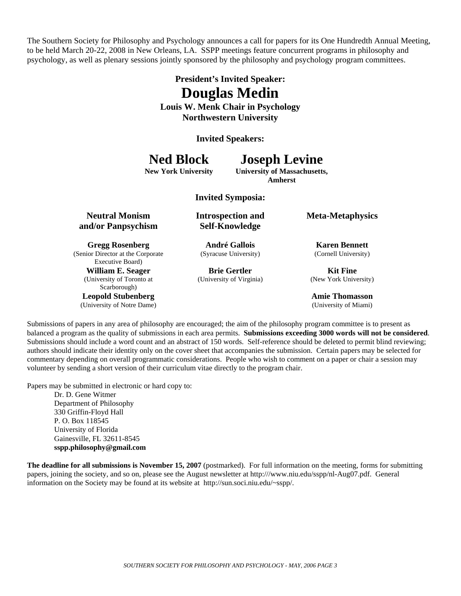The Southern Society for Philosophy and Psychology announces a call for papers for its One Hundredth Annual Meeting, to be held March 20-22, 2008 in New Orleans, LA. SSPP meetings feature concurrent programs in philosophy and psychology, as well as plenary sessions jointly sponsored by the philosophy and psychology program committees.

# **President's Invited Speaker: Douglas Medin**

**Louis W. Menk Chair in Psychology Northwestern University** 

**Invited Speakers:** 

# **Ned Block Joseph Levine**

#### **New York University University of Massachusetts, Amherst**

**Invited Symposia:** 

**Neutral Monism and/or Panpsychism**

**Gregg Rosenberg**  (Senior Director at the Corporate Executive Board)

> **William E. Seager**  (University of Toronto at Scarborough)

**Leopold Stubenberg**  (University of Notre Dame) **Introspection and Self-Knowledge** 

**André Gallois**  (Syracuse University)

**Brie Gertler**  (University of Virginia) **Meta-Metaphysics**

**Karen Bennett**  (Cornell University)

**Kit Fine**  (New York University)

**Amie Thomasson**  (University of Miami)

Submissions of papers in any area of philosophy are encouraged; the aim of the philosophy program committee is to present as balanced a program as the quality of submissions in each area permits. **Submissions exceeding 3000 words will not be considered**. Submissions should include a word count and an abstract of 150 words. Self-reference should be deleted to permit blind reviewing; authors should indicate their identity only on the cover sheet that accompanies the submission. Certain papers may be selected for commentary depending on overall programmatic considerations. People who wish to comment on a paper or chair a session may volunteer by sending a short version of their curriculum vitae directly to the program chair.

Papers may be submitted in electronic or hard copy to:

Dr. D. Gene Witmer Department of Philosophy 330 Griffin-Floyd Hall P. O. Box 118545 University of Florida Gainesville, FL 32611-8545 **sspp.philosophy@gmail.com** 

**The deadline for all submissions is November 15, 2007** (postmarked). For full information on the meeting, forms for submitting papers, joining the society, and so on, please see the August newsletter at http:///www.niu.edu/sspp/nl-Aug07.pdf. General information on the Society may be found at its website at http://sun.soci.niu.edu/~sspp/.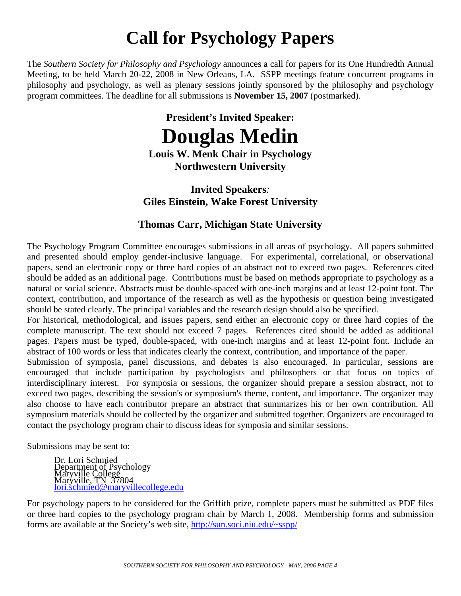# **Call for Psychology Papers**

The *Southern Society for Philosophy and Psychology* announces a call for papers for its One Hundredth Annual Meeting, to be held March 20-22, 2008 in New Orleans, LA. SSPP meetings feature concurrent programs in philosophy and psychology, as well as plenary sessions jointly sponsored by the philosophy and psychology program committees. The deadline for all submissions is **November 15, 2007** (postmarked).

# **President's Invited Speaker: Douglas Medin**

**Louis W. Menk Chair in Psychology Northwestern University**

# **Invited Speakers***:* **Giles Einstein, Wake Forest University**

# **Thomas Carr, Michigan State University**

The Psychology Program Committee encourages submissions in all areas of psychology. All papers submitted and presented should employ gender-inclusive language. For experimental, correlational, or observational papers, send an electronic copy or three hard copies of an abstract not to exceed two pages. References cited should be added as an additional page. Contributions must be based on methods appropriate to psychology as a natural or social science. Abstracts must be double-spaced with one-inch margins and at least 12-point font. The context, contribution, and importance of the research as well as the hypothesis or question being investigated should be stated clearly. The principal variables and the research design should also be specified.

For historical, methodological, and issues papers, send either an electronic copy or three hard copies of the complete manuscript. The text should not exceed 7 pages. References cited should be added as additional pages. Papers must be typed, double-spaced, with one-inch margins and at least 12-point font. Include an abstract of 100 words or less that indicates clearly the context, contribution, and importance of the paper.

Submission of symposia, panel discussions, and debates is also encouraged. In particular, sessions are encouraged that include participation by psychologists and philosophers or that focus on topics of interdisciplinary interest. For symposia or sessions, the organizer should prepare a session abstract, not to exceed two pages, describing the session's or symposium's theme, content, and importance. The organizer may also choose to have each contributor prepare an abstract that summarizes his or her own contribution. All symposium materials should be collected by the organizer and submitted together. Organizers are encouraged to contact the psychology program chair to discuss ideas for symposia and similar sessions.

Submissions may be sent to:

 Dr. Lori Schmied Department of Psychology Maryville College Maryville, TN 37804 lori.schmied@maryvillecollege.edu

For psychology papers to be considered for the Griffith prize, complete papers must be submitted as PDF files or three hard copies to the psychology program chair by March 1, 2008. Membership forms and submission forms are available at the Society's web site, http://sun.soci.niu.edu/~sspp/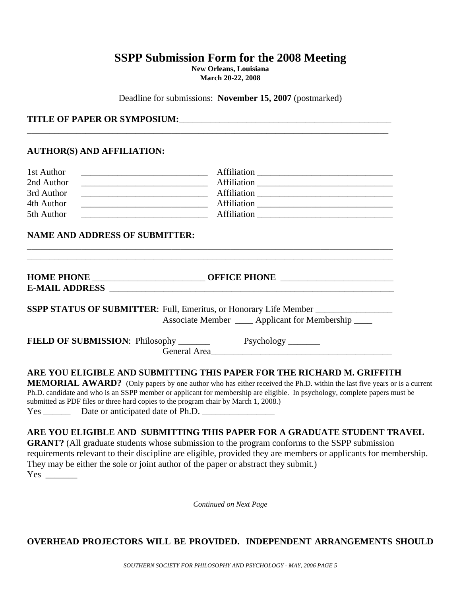# **SSPP Submission Form for the 2008 Meeting**

**New Orleans, Louisiana March 20-22, 2008**

Deadline for submissions: **November 15, 2007** (postmarked)

\_\_\_\_\_\_\_\_\_\_\_\_\_\_\_\_\_\_\_\_\_\_\_\_\_\_\_\_\_\_\_\_\_\_\_\_\_\_\_\_\_\_\_\_\_\_\_\_\_\_\_\_\_\_\_\_\_\_\_\_\_\_\_\_\_\_\_\_\_\_\_\_\_\_\_\_\_\_\_\_

#### **TITLE OF PAPER OR SYMPOSIUM:**\_\_\_\_\_\_\_\_\_\_\_\_\_\_\_\_\_\_\_\_\_\_\_\_\_\_\_\_\_\_\_\_\_\_\_\_\_\_\_\_\_\_\_\_\_\_\_

#### **AUTHOR(S) AND AFFILIATION:**

Yes \_\_\_\_\_\_\_

| 1st Author                                                                                                                           |                                                                                                                                                                                                          |
|--------------------------------------------------------------------------------------------------------------------------------------|----------------------------------------------------------------------------------------------------------------------------------------------------------------------------------------------------------|
| 2nd Author                                                                                                                           |                                                                                                                                                                                                          |
| 3rd Author<br><u> Alexandria de la construcción de la construcción de la construcción de la construcción de la construcción de l</u> |                                                                                                                                                                                                          |
| 4th Author                                                                                                                           |                                                                                                                                                                                                          |
| 5th Author                                                                                                                           |                                                                                                                                                                                                          |
| <b>NAME AND ADDRESS OF SUBMITTER:</b>                                                                                                |                                                                                                                                                                                                          |
|                                                                                                                                      |                                                                                                                                                                                                          |
|                                                                                                                                      |                                                                                                                                                                                                          |
|                                                                                                                                      | SSPP STATUS OF SUBMITTER: Full, Emeritus, or Honorary Life Member ______________                                                                                                                         |
|                                                                                                                                      | Associate Member ____ Applicant for Membership ____                                                                                                                                                      |
|                                                                                                                                      |                                                                                                                                                                                                          |
|                                                                                                                                      | General Area                                                                                                                                                                                             |
|                                                                                                                                      | ARE YOU ELIGIBLE AND SUBMITTING THIS PAPER FOR THE RICHARD M. GRIFFITH<br><b>MEMORIAL AWARD?</b> (Only papers by one author who has either received the Ph.D. within the last five years or is a current |
| submitted as PDF files or three hard copies to the program chair by March 1, 2008.)                                                  | Ph.D. candidate and who is an SSPP member or applicant for membership are eligible. In psychology, complete papers must be                                                                               |
| Yes ___________ Date or anticipated date of Ph.D. ______________________________                                                     |                                                                                                                                                                                                          |
|                                                                                                                                      | ARE YOU ELIGIBLE AND SUBMITTING THIS PAPER FOR A GRADUATE STUDENT TRAVEL                                                                                                                                 |
|                                                                                                                                      | <b>GRANT?</b> (All graduate students whose submission to the program conforms to the SSPP submission                                                                                                     |
|                                                                                                                                      | requirements relevant to their discipline are eligible, provided they are members or applicants for membership.                                                                                          |
|                                                                                                                                      | They may be either the sole or joint author of the paper or abstract they submit.)                                                                                                                       |

*Continued on Next Page* 

# **OVERHEAD PROJECTORS WILL BE PROVIDED. INDEPENDENT ARRANGEMENTS SHOULD**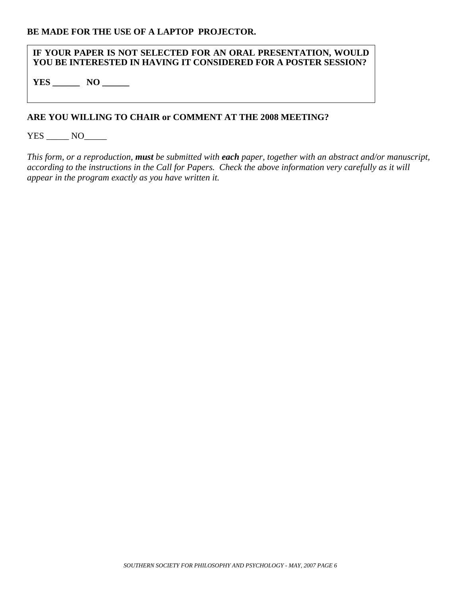#### **IF YOUR PAPER IS NOT SELECTED FOR AN ORAL PRESENTATION, WOULD YOU BE INTERESTED IN HAVING IT CONSIDERED FOR A POSTER SESSION?**

**YES \_\_\_\_\_\_ NO \_\_\_\_\_\_**

# **ARE YOU WILLING TO CHAIR or COMMENT AT THE 2008 MEETING?**

YES \_\_\_\_\_\_ NO\_\_\_\_\_\_

*This form, or a reproduction, must be submitted with each paper, together with an abstract and/or manuscript, according to the instructions in the Call for Papers. Check the above information very carefully as it will appear in the program exactly as you have written it.*